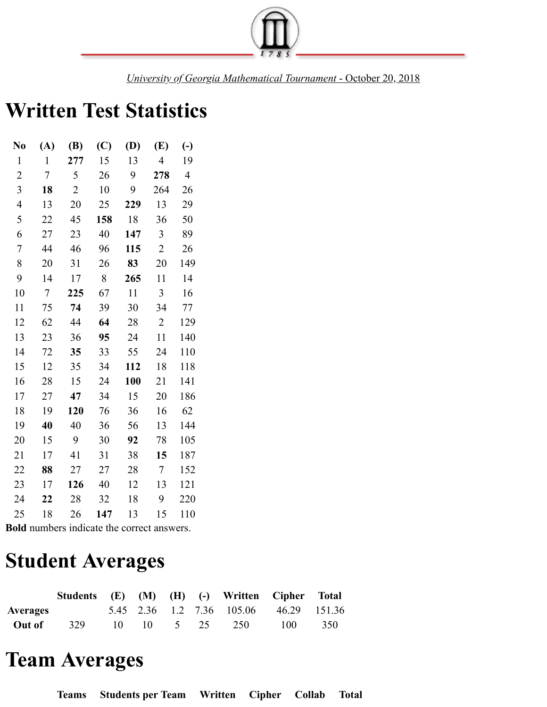

*University of Georgia Mathematical Tournament* - October 20, 2018

## **Written Test Statistics**

| N <sub>0</sub> | (A)    | (B)            | (C) | (D) | (E)            | $\left(\text{-}\right)$ |
|----------------|--------|----------------|-----|-----|----------------|-------------------------|
| 1              | 1      | 277            | 15  | 13  | 4              | 19                      |
| $\overline{c}$ | 7      | 5              | 26  | 9   | 278            | $\overline{4}$          |
| 3              | 18     | $\overline{2}$ | 10  | 9   | 264            | 26                      |
| 4              | 13     | 20             | 25  | 229 | 13             | 29                      |
| 5              | 22     | 45             | 158 | 18  | 36             | 50                      |
| 6              | 27     | 23             | 40  | 147 | 3              | 89                      |
| $\overline{7}$ | 44     | 46             | 96  | 115 | $\overline{2}$ | 26                      |
| 8              | 20     | 31             | 26  | 83  | 20             | 149                     |
| 9              | 14     | 17             | 8   | 265 | 11             | 14                      |
| 10             | $\tau$ | 225            | 67  | 11  | $\overline{3}$ | 16                      |
| 11             | 75     | 74             | 39  | 30  | 34             | 77                      |
| 12             | 62     | 44             | 64  | 28  | $\overline{2}$ | 129                     |
| 13             | 23     | 36             | 95  | 24  | 11             | 140                     |
| 14             | 72     | 35             | 33  | 55  | 24             | 110                     |
| 15             | 12     | 35             | 34  | 112 | 18             | 118                     |
| 16             | 28     | 15             | 24  | 100 | 21             | 141                     |
| 17             | 27     | 47             | 34  | 15  | 20             | 186                     |
| 18             | 19     | 120            | 76  | 36  | 16             | 62                      |
| 19             | 40     | 40             | 36  | 56  | 13             | 144                     |
| 20             | 15     | 9              | 30  | 92  | 78             | 105                     |
| 21             | 17     | 41             | 31  | 38  | 15             | 187                     |
| 22             | 88     | 27             | 27  | 28  | $\tau$         | 152                     |
| 23             | 17     | 126            | 40  | 12  | 13             | 121                     |
| 24             | 22     | 28             | 32  | 18  | 9              | 220                     |
| 25             | 18     | 26             | 147 | 13  | 15             | 110                     |

**Bold** numbers indicate the correct answers.

## **Student Averages**

|                 | Students (E) (M) (H) (-) Written Cipher Total |  |  |                                        |     |     |
|-----------------|-----------------------------------------------|--|--|----------------------------------------|-----|-----|
| <b>Averages</b> |                                               |  |  | 5.45 2.36 1.2 7.36 105.06 46.29 151.36 |     |     |
| Out of          | 329                                           |  |  | $10 \t 10 \t 5 \t 25 \t 250$           | 100 | 350 |

## **Team Averages**

**Teams Students per Team Written Cipher Collab Total**